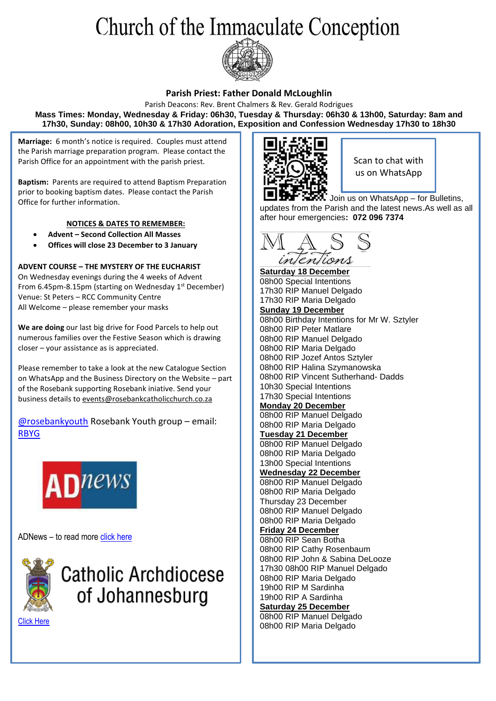# Church of the Immaculate Conception



#### **Parish Priest: Father Donald McLoughlin**

Parish Deacons: Rev. Brent Chalmers & Rev. Gerald Rodrigues **Mass Times: Monday, Wednesday & Friday: 06h30, Tuesday & Thursday: 06h30 & 13h00, Saturday: 8am and 17h30, Sunday: 08h00, 10h30 & 17h30 Adoration, Exposition and Confession Wednesday 17h30 to 18h30**

**Marriage:** 6 month's notice is required. Couples must attend the Parish marriage preparation program. Please contact the Parish Office for an appointment with the parish priest.

**Baptism:** Parents are required to attend Baptism Preparation prior to booking baptism dates. Please contact the Parish Office for further information.

#### **NOTICES & DATES TO REMEMBER:**

- **Advent – Second Collection All Masses**
- **Offices will close 23 December to 3 January**

**ADVENT COURSE – THE MYSTERY OF THE EUCHARIST** On Wednesday evenings during the 4 weeks of Advent From 6.45pm-8.15pm (starting on Wednesday 1<sup>st</sup> December) Venue: St Peters – RCC Community Centre All Welcome – please remember your masks

**We are doing** our last big drive for Food Parcels to help out numerous families over the Festive Season which is drawing closer – your assistance as is appreciated.

Please remember to take a look at the new Catalogue Section on WhatsApp and the Business Directory on the Website – part of the Rosebank supporting Rosebank iniative. Send your business details t[o events@rosebankcatholicchurch.co.za](mailto:events@rosebankcatholicchurch.co.za)

[@rosebankyouth](https://www.instagram.com/rosebankyouth/) Rosebank Youth group – email: [RBYG](mailto:rosebankccyg@gmail.com)



ADNews – to read mor[e click here](https://documentcloud.adobe.com/link/review?uri=urn:aaid:scds:US:3b2491cb-4441-4c1e-84e6-f9e9f830cda4)



## **Catholic Archdiocese** of Johannesburg

[Click Here](https://www.catholicjhb.org.za/)



Scan to chat with us on WhatsApp

Join us on WhatsApp – for Bulletins, updates from the Parish and the latest news.As well as all after hour emergencies**: 072 096 7374**



**Saturday 18 December** 08h00 Special Intentions 17h30 RIP Manuel Delgado 17h30 RIP Maria Delgado **Sunday 19 December** 08h00 Birthday Intentions for Mr W. Sztyler 08h00 RIP Peter Matlare 08h00 RIP Manuel Delgado 08h00 RIP Maria Delgado 08h00 RIP Jozef Antos Sztyler 08h00 RIP Halina Szymanowska 08h00 RIP Vincent Sutherhand- Dadds 10h30 Special Intentions 17h30 Special Intentions **Monday 20 December** 08h00 RIP Manuel Delgado 08h00 RIP Maria Delgado **Tuesday 21 December** 08h00 RIP Manuel Delgado 08h00 RIP Maria Delgado 13h00 Special Intentions **Wednesday 22 December** 08h00 RIP Manuel Delgado 08h00 RIP Maria Delgado Thursday 23 December 08h00 RIP Manuel Delgado 08h00 RIP Maria Delgado **Friday 24 December**  08h00 RIP Sean Botha 08h00 RIP Cathy Rosenbaum 08h00 RIP John & Sabina DeLooze 17h30 08h00 RIP Manuel Delgado 08h00 RIP Maria Delgado 19h00 RIP M Sardinha 19h00 RIP A Sardinha **Saturday 25 December** 08h00 RIP Manuel Delgado 08h00 RIP Maria Delgado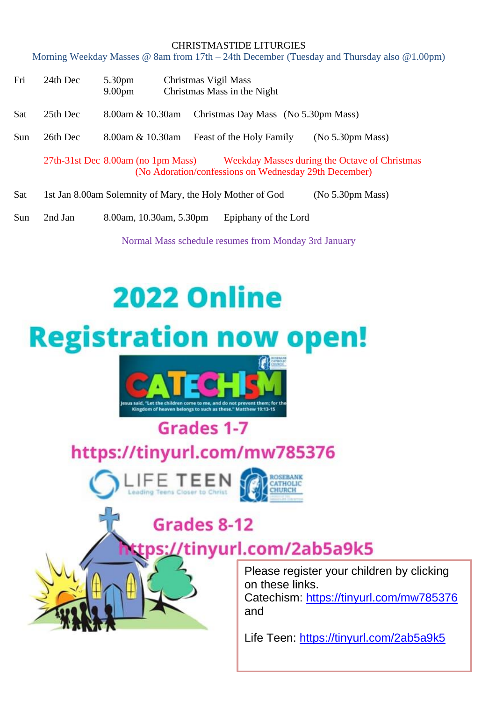#### CHRISTMASTIDE LITURGIES

Morning Weekday Masses @ 8am from 17th – 24th December (Tuesday and Thursday also @1.00pm)

| Fri | 24th Dec | 5.30 <sub>pm</sub><br>9.00 <sub>pm</sub>                                                                                                                |  | Christmas Vigil Mass<br>Christmas Mass in the Night      |  |                  |  |
|-----|----------|---------------------------------------------------------------------------------------------------------------------------------------------------------|--|----------------------------------------------------------|--|------------------|--|
| Sat | 25th Dec | 8.00am & 10.30am                                                                                                                                        |  | Christmas Day Mass (No 5.30pm Mass)                      |  |                  |  |
| Sun | 26th Dec | 8.00am & 10.30am                                                                                                                                        |  | Feast of the Holy Family                                 |  | (No 5.30pm Mass) |  |
|     |          | $27th-31st$ Dec $8.00am$ (no 1pm Mass)<br><b>Weekday Masses during the Octave of Christmas</b><br>(No Adoration/confessions on Wednesday 29th December) |  |                                                          |  |                  |  |
| Sat |          |                                                                                                                                                         |  | 1st Jan 8.00am Solemnity of Mary, the Holy Mother of God |  | (No 5.30pm Mass) |  |

Sun 2nd Jan 8.00am, 10.30am, 5.30pm Epiphany of the Lord

Normal Mass schedule resumes from Monday 3rd January

# **2022 Online**





## Grades 1-7 https://tinyurl.com/mw785376





# Grades 8-12

## s://tinyurl.com/2ab5a9k5

Please register your children by clicking on these links. Catechism:<https://tinyurl.com/mw785376> and

Life Teen:<https://tinyurl.com/2ab5a9k5>